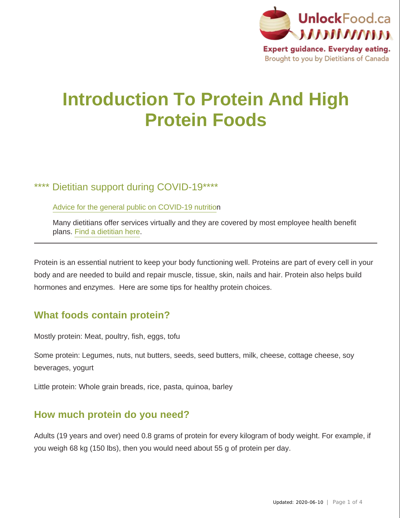

# **Introduction To Protein And High Protein Foods**

# \*\*\*\* Dietitian support during COVID-19\*\*\*\*

[Advice for the general public on COVID-19 nutritio](https://www.dietitians.ca/News/2020/Advice-for-the-general-public-about-COVID-19?utm_source=UnlockFood%20Website&utm_medium=Popular%20Articles&utm_campaign=COVID%20Advice)n

Many dietitians offer services virtually and they are covered by most employee health benefit plans. [Find a dietitian here](https://members.dietitians.ca/DCMember/s/find-dietitian?language=en_US&utm_source=UnlockFood%20Website&utm_medium=Popular%20Articles&utm_campaign=Find%20a%20Dietitian).

Protein is an essential nutrient to keep your body functioning well. Proteins are part of every cell in your body and are needed to build and repair muscle, tissue, skin, nails and hair. Protein also helps build hormones and enzymes. Here are some tips for healthy protein choices.

# **What foods contain protein?**

Mostly protein: Meat, poultry, fish, eggs, tofu

Some protein: Legumes, nuts, nut butters, seeds, seed butters, milk, cheese, cottage cheese, soy beverages, yogurt

Little protein: Whole grain breads, rice, pasta, quinoa, barley

# **How much protein do you need?**

Adults (19 years and over) need 0.8 grams of protein for every kilogram of body weight. For example, if you weigh 68 kg (150 lbs), then you would need about 55 g of protein per day.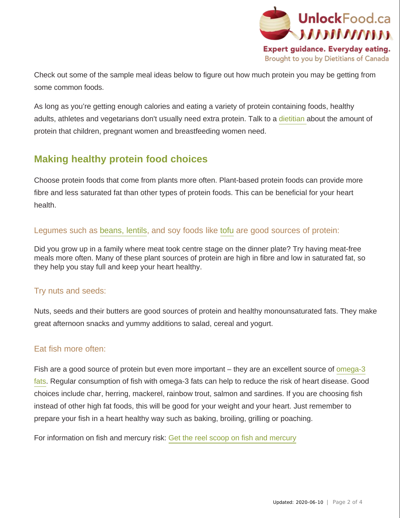

Check out some of the sample meal ideas below to figure out how much protein you may be getting from some common foods.

As long as you're getting enough calories and eating a variety of protein containing foods, healthy adults, athletes and vegetarians don't usually need extra protein. Talk to a [dietitian a](http://www.unlockfood.ca/en/askDisclaimer.aspx)bout the amount of protein that children, pregnant women and breastfeeding women need.

# **Making healthy protein food choices**

Choose protein foods that come from plants more often. Plant-based protein foods can provide more fibre and less saturated fat than other types of protein foods. This can be beneficial for your heart health.

#### Legumes such as [beans, lentils](http://www.unlockfood.ca/en/ViewDocument.aspx?id=279), and soy foods like [tofu](http://www.unlockfood.ca/en/ViewDocument.aspx?id=199) are good sources of protein:

Did you grow up in a family where meat took centre stage on the dinner plate? Try having meat-free meals more often. Many of these plant sources of protein are high in fibre and low in saturated fat, so they help you stay full and keep your heart healthy.

#### Try nuts and seeds:

Nuts, seeds and their butters are good sources of protein and healthy monounsaturated fats. They make great afternoon snacks and yummy additions to salad, cereal and yogurt.

#### Eat fish more often:

Fish are a good source of protein but even more important – they are an excellent source of [omega-3](http://www.unlockfood.ca/en/ViewDocument.aspx?id=78) [fats.](http://www.unlockfood.ca/en/ViewDocument.aspx?id=78) Regular consumption of fish with omega-3 fats can help to reduce the risk of heart disease. Good choices include char, herring, mackerel, rainbow trout, salmon and sardines. If you are choosing fish instead of other high fat foods, this will be good for your weight and your heart. Just remember to prepare your fish in a heart healthy way such as baking, broiling, grilling or poaching.

For information on fish and mercury risk: [Get the reel scoop on fish and mercury](http://www.unlockfood.ca/en/ViewDocument.aspx?id=76)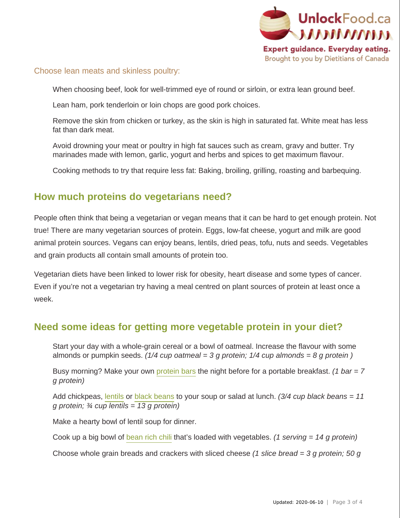

#### Choose lean meats and skinless poultry:

When choosing beef, look for well-trimmed eye of round or sirloin, or extra lean ground beef.

Lean ham, pork tenderloin or loin chops are good pork choices.

Remove the skin from chicken or turkey, as the skin is high in saturated fat. White meat has less fat than dark meat.

Avoid drowning your meat or poultry in high fat sauces such as cream, gravy and butter. Try marinades made with lemon, garlic, yogurt and herbs and spices to get maximum flavour.

Cooking methods to try that require less fat: Baking, broiling, grilling, roasting and barbequing.

## **How much proteins do vegetarians need?**

People often think that being a vegetarian or vegan means that it can be hard to get enough protein. Not true! There are many vegetarian sources of protein. Eggs, low-fat cheese, yogurt and milk are good animal protein sources. Vegans can enjoy beans, lentils, dried peas, tofu, nuts and seeds. Vegetables and grain products all contain small amounts of protein too.

Vegetarian diets have been linked to lower risk for obesity, heart disease and some types of cancer. Even if you're not a vegetarian try having a meal centred on plant sources of protein at least once a week.

## **Need some ideas for getting more vegetable protein in your diet?**

Start your day with a whole-grain cereal or a bowl of oatmeal. Increase the flavour with some almonds or pumpkin seeds. (1/4 cup oatmeal = 3 g protein; 1/4 cup almonds = 8 g protein)

Busy morning? Make your own [protein bars](http://www.unlockfood.ca/en/ViewDocument.aspx?id=232) the night before for a portable breakfast. (1 bar =  $7$ g protein)

Add chickpeas, [lentils](http://www.unlockfood.ca/en/ViewDocument.aspx?id=89) or [black beans](http://www.unlockfood.ca/en/ViewDocument.aspx?id=235) to your soup or salad at lunch. (3/4 cup black beans = 11 g protein;  $\frac{3}{4}$  cup lentils = 13 g protein)

Make a hearty bowl of lentil soup for dinner.

Cook up a big bowl of [bean rich chili](http://www.dietitians.ca/Downloadable-Content/Public/Recipe-Crowd-Pleasing-Vegetarian-Chili.aspx) that's loaded with vegetables. (1 serving = 14 g protein)

Choose whole grain breads and crackers with sliced cheese (1 slice bread = 3 g protein; 50 g